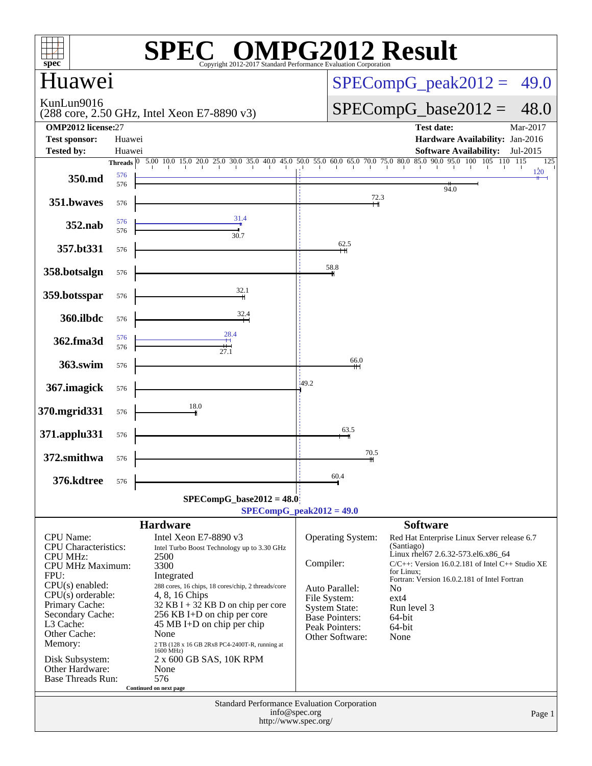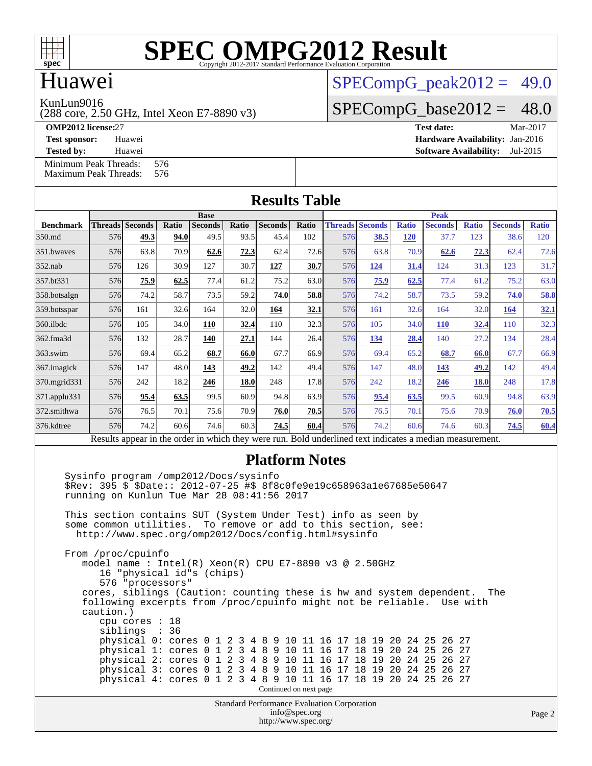

### Huawei

KunLun9016

(288 core, 2.50 GHz, Intel Xeon E7-8890 v3)

 $SPECompG<sub>peak2012</sub> = 49.0$ 

 $SPECompG_base2012 = 48.0$  $SPECompG_base2012 = 48.0$ 

**[OMP2012 license:](http://www.spec.org/auto/omp2012/Docs/result-fields.html#OMP2012license)**27 **[Test date:](http://www.spec.org/auto/omp2012/Docs/result-fields.html#Testdate)** Mar-2017 **[Test sponsor:](http://www.spec.org/auto/omp2012/Docs/result-fields.html#Testsponsor)** Huawei **[Hardware Availability:](http://www.spec.org/auto/omp2012/Docs/result-fields.html#HardwareAvailability)** Jan-2016

**[Tested by:](http://www.spec.org/auto/omp2012/Docs/result-fields.html#Testedby)** Huawei **[Software Availability:](http://www.spec.org/auto/omp2012/Docs/result-fields.html#SoftwareAvailability)** Jul-2015

[Minimum Peak Threads:](http://www.spec.org/auto/omp2012/Docs/result-fields.html#MinimumPeakThreads) 576<br>Maximum Peak Threads: 576 [Maximum Peak Threads:](http://www.spec.org/auto/omp2012/Docs/result-fields.html#MaximumPeakThreads)

| <b>Results Table</b>                                                                                     |             |                        |       |                |             |                |       |     |                        |              |                |              |                |              |
|----------------------------------------------------------------------------------------------------------|-------------|------------------------|-------|----------------|-------------|----------------|-------|-----|------------------------|--------------|----------------|--------------|----------------|--------------|
|                                                                                                          | <b>Base</b> |                        |       |                | <b>Peak</b> |                |       |     |                        |              |                |              |                |              |
| <b>Benchmark</b>                                                                                         |             | <b>Threads Seconds</b> | Ratio | <b>Seconds</b> | Ratio       | <b>Seconds</b> | Ratio |     | <b>Threads Seconds</b> | <b>Ratio</b> | <b>Seconds</b> | <b>Ratio</b> | <b>Seconds</b> | <b>Ratio</b> |
| 350.md                                                                                                   | 576         | 49.3                   | 94.0  | 49.5           | 93.5        | 45.4           | 102   | 576 | 38.5                   | <b>120</b>   | 37.7           | 123          | 38.6           | 120          |
| 351.bwaves                                                                                               | 576         | 63.8                   | 70.9  | 62.6           | 72.3        | 62.4           | 72.6  | 576 | 63.8                   | 70.9         | 62.6           | 72.3         | 62.4           | 72.6         |
| $352$ .nab                                                                                               | 576         | 126                    | 30.9  | 127            | 30.7        | 127            | 30.7  | 576 | 124                    | 31.4         | 124            | 31.3         | 123            | 31.7         |
| 357.bt331                                                                                                | 576         | 75.9                   | 62.5  | 77.4           | 61.2        | 75.2           | 63.0  | 576 | 75.9                   | 62.5         | 77.4           | 61.2         | 75.2           | 63.0         |
| 358.botsalgn                                                                                             | 576         | 74.2                   | 58.7  | 73.5           | 59.2        | 74.0           | 58.8  | 576 | 74.2                   | 58.7         | 73.5           | 59.2         | 74.0           | 58.8         |
| 359.botsspar                                                                                             | 576         | 161                    | 32.6  | 164            | 32.0        | 164            | 32.1  | 576 | 161                    | 32.6         | 164            | 32.0         | 164            | <u>32.1</u>  |
| 360.ilbdc                                                                                                | 576         | 105                    | 34.0  | 110            | 32.4        | 110            | 32.3  | 576 | 105                    | 34.0         | <b>110</b>     | 32.4         | 110            | 32.3         |
| 362.fma3d                                                                                                | 576         | 132                    | 28.7  | 140            | 27.1        | 144            | 26.4  | 576 | 134                    | 28.4         | 140            | 27.2         | 134            | 28.4         |
| $363$ .swim                                                                                              | 576         | 69.4                   | 65.2  | 68.7           | 66.0        | 67.7           | 66.9  | 576 | 69.4                   | 65.2         | 68.7           | 66.0         | 67.7           | 66.9         |
| 367. imagick                                                                                             | 576         | 147                    | 48.0  | 143            | 49.2        | 142            | 49.4  | 576 | 147                    | 48.0         | 143            | 49.2         | 142            | 49.4         |
| 370.mgrid331                                                                                             | 576         | 242                    | 18.2  | 246            | 18.0        | 248            | 17.8  | 576 | 242                    | 18.2         | 246            | <b>18.0</b>  | 248            | 17.8         |
| $371$ .applu $331$                                                                                       | 576         | 95.4                   | 63.5  | 99.5           | 60.9        | 94.8           | 63.9  | 576 | 95.4                   | 63.5         | 99.5           | 60.9         | 94.8           | 63.9         |
| 372.smithwa                                                                                              | 576         | 76.5                   | 70.1  | 75.6           | 70.9        | 76.0           | 70.5  | 576 | 76.5                   | 70.1         | 75.6           | 70.9         | 76.0           | 70.5         |
| 376.kdtree                                                                                               | 576         | 74.2                   | 60.6  | 74.6           | 60.3        | 74.5           | 60.4  | 576 | 74.2                   | 60.6         | 74.6           | 60.3         | 74.5           | 60.4         |
| Results appear in the order in which they were run. Bold underlined text indicates a median measurement. |             |                        |       |                |             |                |       |     |                        |              |                |              |                |              |

#### **[Platform Notes](http://www.spec.org/auto/omp2012/Docs/result-fields.html#PlatformNotes)**

 Sysinfo program /omp2012/Docs/sysinfo \$Rev: 395 \$ \$Date:: 2012-07-25 #\$ 8f8c0fe9e19c658963a1e67685e50647 running on Kunlun Tue Mar 28 08:41:56 2017 This section contains SUT (System Under Test) info as seen by some common utilities. To remove or add to this section, see: <http://www.spec.org/omp2012/Docs/config.html#sysinfo>

 From /proc/cpuinfo model name : Intel(R) Xeon(R) CPU E7-8890 v3 @ 2.50GHz 16 "physical id"s (chips) 576 "processors" cores, siblings (Caution: counting these is hw and system dependent. The following excerpts from /proc/cpuinfo might not be reliable. Use with caution.) cpu cores : 18 siblings : 36 physical 0: cores 0 1 2 3 4 8 9 10 11 16 17 18 19 20 24 25 26 27 physical 1: cores 0 1 2 3 4 8 9 10 11 16 17 18 19 20 24 25 26 27 physical 2: cores 0 1 2 3 4 8 9 10 11 16 17 18 19 20 24 25 26 27 physical 3: cores 0 1 2 3 4 8 9 10 11 16 17 18 19 20 24 25 26 27 physical 4: cores 0 1 2 3 4 8 9 10 11 16 17 18 19 20 24 25 26 27 Continued on next page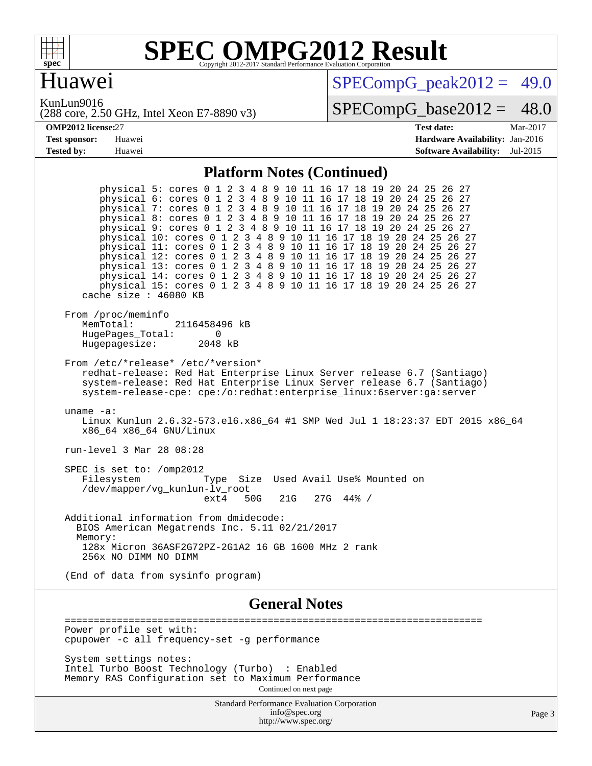

#### Huawei

 $SPECompG_peak2012 = 49.0$  $SPECompG_peak2012 = 49.0$ 

KunLun9016

(288 core, 2.50 GHz, Intel Xeon E7-8890 v3)

 $SPECompG_base2012 = 48.0$  $SPECompG_base2012 = 48.0$ 

| <b>OMP2012 license:27</b> |        | Test date:                             | Mar-2017 |
|---------------------------|--------|----------------------------------------|----------|
| <b>Test sponsor:</b>      | Huawei | <b>Hardware Availability: Jan-2016</b> |          |
| <b>Tested by:</b>         | Huawei | <b>Software Availability:</b> Jul-2015 |          |

#### **[Platform Notes \(Continued\)](http://www.spec.org/auto/omp2012/Docs/result-fields.html#PlatformNotes)**

 physical 5: cores 0 1 2 3 4 8 9 10 11 16 17 18 19 20 24 25 26 27 physical 6: cores 0 1 2 3 4 8 9 10 11 16 17 18 19 20 24 25 26 27 physical 7: cores 0 1 2 3 4 8 9 10 11 16 17 18 19 20 24 25 26 27 physical 8: cores 0 1 2 3 4 8 9 10 11 16 17 18 19 20 24 25 26 27 physical 9: cores 0 1 2 3 4 8 9 10 11 16 17 18 19 20 24 25 26 27 physical 10: cores 0 1 2 3 4 8 9 10 11 16 17 18 19 20 24 25 26 27 physical 11: cores 0 1 2 3 4 8 9 10 11 16 17 18 19 20 24 25 26 27 physical 12: cores 0 1 2 3 4 8 9 10 11 16 17 18 19 20 24 25 26 27 physical 13: cores 0 1 2 3 4 8 9 10 11 16 17 18 19 20 24 25 26 27 physical 14: cores 0 1 2 3 4 8 9 10 11 16 17 18 19 20 24 25 26 27 physical 15: cores 0 1 2 3 4 8 9 10 11 16 17 18 19 20 24 25 26 27 cache size : 46080 KB From /proc/meminfo<br>MemTotal: 2116458496 kB HugePages\_Total: 0<br>Hugepagesize: 2048 kB Hugepagesize: From /etc/\*release\* /etc/\*version\* redhat-release: Red Hat Enterprise Linux Server release 6.7 (Santiago) system-release: Red Hat Enterprise Linux Server release 6.7 (Santiago) system-release-cpe: cpe:/o:redhat:enterprise\_linux:6server:ga:server uname -a: Linux Kunlun 2.6.32-573.el6.x86 64 #1 SMP Wed Jul 1 18:23:37 EDT 2015 x86 64 x86\_64 x86\_64 GNU/Linux run-level 3 Mar 28 08:28 SPEC is set to: /omp2012 Filesystem Type Size Used Avail Use% Mounted on /dev/mapper/vg\_kunlun-lv\_root ext4 50G 21G 27G 44% / Additional information from dmidecode: BIOS American Megatrends Inc. 5.11 02/21/2017 Memory: 128x Micron 36ASF2G72PZ-2G1A2 16 GB 1600 MHz 2 rank 256x NO DIMM NO DIMM (End of data from sysinfo program) **[General Notes](http://www.spec.org/auto/omp2012/Docs/result-fields.html#GeneralNotes)** ======================================================================== Power profile set with: cpupower -c all frequency-set -g performance

 System settings notes: Intel Turbo Boost Technology (Turbo) : Enabled Memory RAS Configuration set to Maximum Performance Continued on next page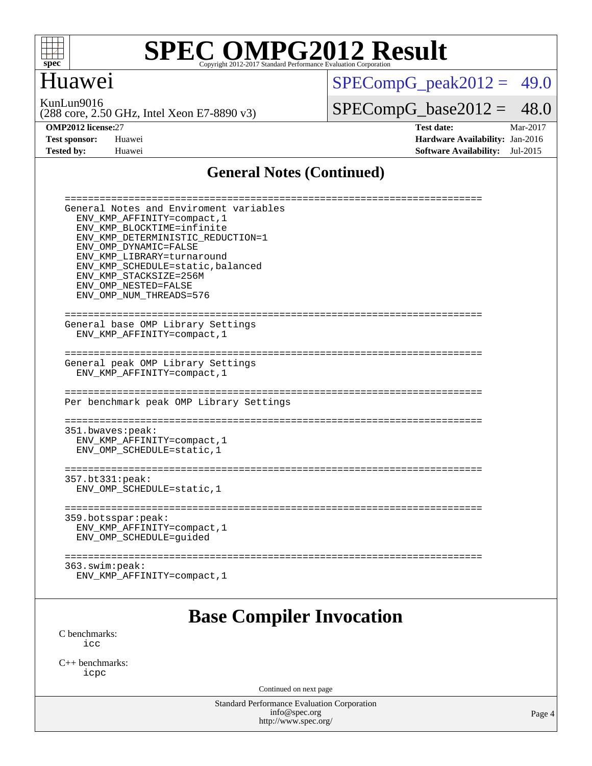

### Huawei

 $SPECompG_peak2012 = 49.0$  $SPECompG_peak2012 = 49.0$ 

KunLun9016

(288 core, 2.50 GHz, Intel Xeon E7-8890 v3)

 $SPECompG_base2012 = 48.0$  $SPECompG_base2012 = 48.0$ 

**[OMP2012 license:](http://www.spec.org/auto/omp2012/Docs/result-fields.html#OMP2012license)**27 **[Test date:](http://www.spec.org/auto/omp2012/Docs/result-fields.html#Testdate)** Mar-2017 **[Test sponsor:](http://www.spec.org/auto/omp2012/Docs/result-fields.html#Testsponsor)** Huawei **[Hardware Availability:](http://www.spec.org/auto/omp2012/Docs/result-fields.html#HardwareAvailability)** Jan-2016 **[Tested by:](http://www.spec.org/auto/omp2012/Docs/result-fields.html#Testedby)** Huawei **[Software Availability:](http://www.spec.org/auto/omp2012/Docs/result-fields.html#SoftwareAvailability)** Jul-2015

#### **[General Notes \(Continued\)](http://www.spec.org/auto/omp2012/Docs/result-fields.html#GeneralNotes)**

| -------------------                                         |
|-------------------------------------------------------------|
| General Notes and Enviroment variables                      |
| ENV_KMP_AFFINITY=compact, 1                                 |
| ENV KMP BLOCKTIME=infinite                                  |
| ENV KMP DETERMINISTIC REDUCTION=1                           |
| ENV OMP DYNAMIC=FALSE                                       |
| ENV KMP LIBRARY=turnaround                                  |
| ENV_KMP_SCHEDULE=static, balanced<br>ENV KMP STACKSIZE=256M |
| ENV OMP NESTED=FALSE                                        |
| ENV_OMP_NUM_THREADS=576                                     |
|                                                             |
| -----------------------------------                         |
| General base OMP Library Settings                           |
| ENV KMP AFFINITY=compact, 1                                 |
|                                                             |
| General peak OMP Library Settings                           |
| ENV_KMP_AFFINITY=compact, 1                                 |
|                                                             |
|                                                             |
| Per benchmark peak OMP Library Settings                     |
|                                                             |
|                                                             |
| 351.bwaves:peak:                                            |
| ENV_KMP_AFFINITY=compact, 1                                 |
| ENV_OMP_SCHEDULE=static, 1                                  |
| =============                                               |
| 357.bt331:peak:                                             |
| ENV OMP SCHEDULE=static, 1                                  |
|                                                             |
| -----------------<br>=====================                  |
| 359.botsspar: peak:                                         |
| ENV KMP AFFINITY=compact, 1                                 |
| ENV_OMP_SCHEDULE=guided                                     |
|                                                             |
| ----------------<br>363.swin:peak:                          |
| ENV_KMP_AFFINITY=compact, 1                                 |
|                                                             |
|                                                             |
|                                                             |

#### **[Base Compiler Invocation](http://www.spec.org/auto/omp2012/Docs/result-fields.html#BaseCompilerInvocation)**

[C benchmarks](http://www.spec.org/auto/omp2012/Docs/result-fields.html#Cbenchmarks): [icc](http://www.spec.org/omp2012/results/res2017q2/omp2012-20170328-00096.flags.html#user_CCbase_intel_icc_a87c68a857bc5ec5362391a49d3a37a6)

[C++ benchmarks:](http://www.spec.org/auto/omp2012/Docs/result-fields.html#CXXbenchmarks) [icpc](http://www.spec.org/omp2012/results/res2017q2/omp2012-20170328-00096.flags.html#user_CXXbase_intel_icpc_2d899f8d163502b12eb4a60069f80c1c)

Continued on next page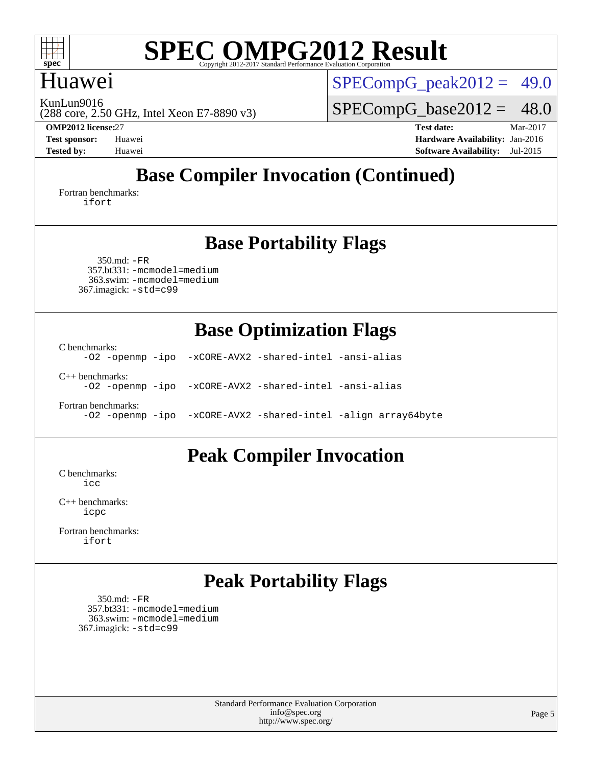

#### Huawei

KunLun9016

(288 core, 2.50 GHz, Intel Xeon E7-8890 v3)

 $SPECompG_peak2012 = 49.0$  $SPECompG_peak2012 = 49.0$ 

 $SPECompG_base2012 = 48.0$  $SPECompG_base2012 = 48.0$ 

**[OMP2012 license:](http://www.spec.org/auto/omp2012/Docs/result-fields.html#OMP2012license)**27 **[Test date:](http://www.spec.org/auto/omp2012/Docs/result-fields.html#Testdate)** Mar-2017 **[Test sponsor:](http://www.spec.org/auto/omp2012/Docs/result-fields.html#Testsponsor)** Huawei **[Hardware Availability:](http://www.spec.org/auto/omp2012/Docs/result-fields.html#HardwareAvailability)** Jan-2016 **[Tested by:](http://www.spec.org/auto/omp2012/Docs/result-fields.html#Testedby)** Huawei **[Software Availability:](http://www.spec.org/auto/omp2012/Docs/result-fields.html#SoftwareAvailability)** Jul-2015

## **[Base Compiler Invocation \(Continued\)](http://www.spec.org/auto/omp2012/Docs/result-fields.html#BaseCompilerInvocation)**

[Fortran benchmarks](http://www.spec.org/auto/omp2012/Docs/result-fields.html#Fortranbenchmarks): [ifort](http://www.spec.org/omp2012/results/res2017q2/omp2012-20170328-00096.flags.html#user_FCbase_intel_ifort_8a5e5e06b19a251bdeaf8fdab5d62f20)

#### **[Base Portability Flags](http://www.spec.org/auto/omp2012/Docs/result-fields.html#BasePortabilityFlags)**

 350.md: [-FR](http://www.spec.org/omp2012/results/res2017q2/omp2012-20170328-00096.flags.html#user_baseFPORTABILITY350_md_f-FR) 357.bt331: [-mcmodel=medium](http://www.spec.org/omp2012/results/res2017q2/omp2012-20170328-00096.flags.html#user_basePORTABILITY357_bt331_f-mcmodel_3a41622424bdd074c4f0f2d2f224c7e5) 363.swim: [-mcmodel=medium](http://www.spec.org/omp2012/results/res2017q2/omp2012-20170328-00096.flags.html#user_basePORTABILITY363_swim_f-mcmodel_3a41622424bdd074c4f0f2d2f224c7e5) 367.imagick: [-std=c99](http://www.spec.org/omp2012/results/res2017q2/omp2012-20170328-00096.flags.html#user_baseCPORTABILITY367_imagick_f-std_2ec6533b6e06f1c4a6c9b78d9e9cde24)

### **[Base Optimization Flags](http://www.spec.org/auto/omp2012/Docs/result-fields.html#BaseOptimizationFlags)**

[C benchmarks](http://www.spec.org/auto/omp2012/Docs/result-fields.html#Cbenchmarks):

[-O2](http://www.spec.org/omp2012/results/res2017q2/omp2012-20170328-00096.flags.html#user_CCbase_f-O2) [-openmp](http://www.spec.org/omp2012/results/res2017q2/omp2012-20170328-00096.flags.html#user_CCbase_f-openmp) [-ipo](http://www.spec.org/omp2012/results/res2017q2/omp2012-20170328-00096.flags.html#user_CCbase_f-ipo_84062ab53814f613187d02344b8f49a7) [-xCORE-AVX2](http://www.spec.org/omp2012/results/res2017q2/omp2012-20170328-00096.flags.html#user_CCbase_f-xCORE-AVX2) [-shared-intel](http://www.spec.org/omp2012/results/res2017q2/omp2012-20170328-00096.flags.html#user_CCbase_f-shared-intel) [-ansi-alias](http://www.spec.org/omp2012/results/res2017q2/omp2012-20170328-00096.flags.html#user_CCbase_f-ansi-alias) [C++ benchmarks:](http://www.spec.org/auto/omp2012/Docs/result-fields.html#CXXbenchmarks) [-O2](http://www.spec.org/omp2012/results/res2017q2/omp2012-20170328-00096.flags.html#user_CXXbase_f-O2) [-openmp](http://www.spec.org/omp2012/results/res2017q2/omp2012-20170328-00096.flags.html#user_CXXbase_f-openmp) [-ipo](http://www.spec.org/omp2012/results/res2017q2/omp2012-20170328-00096.flags.html#user_CXXbase_f-ipo_84062ab53814f613187d02344b8f49a7) [-xCORE-AVX2](http://www.spec.org/omp2012/results/res2017q2/omp2012-20170328-00096.flags.html#user_CXXbase_f-xCORE-AVX2) [-shared-intel](http://www.spec.org/omp2012/results/res2017q2/omp2012-20170328-00096.flags.html#user_CXXbase_f-shared-intel) [-ansi-alias](http://www.spec.org/omp2012/results/res2017q2/omp2012-20170328-00096.flags.html#user_CXXbase_f-ansi-alias)

[Fortran benchmarks](http://www.spec.org/auto/omp2012/Docs/result-fields.html#Fortranbenchmarks): [-O2](http://www.spec.org/omp2012/results/res2017q2/omp2012-20170328-00096.flags.html#user_FCbase_f-O2) [-openmp](http://www.spec.org/omp2012/results/res2017q2/omp2012-20170328-00096.flags.html#user_FCbase_f-openmp) [-ipo](http://www.spec.org/omp2012/results/res2017q2/omp2012-20170328-00096.flags.html#user_FCbase_f-ipo_84062ab53814f613187d02344b8f49a7) [-xCORE-AVX2](http://www.spec.org/omp2012/results/res2017q2/omp2012-20170328-00096.flags.html#user_FCbase_f-xCORE-AVX2) [-shared-intel](http://www.spec.org/omp2012/results/res2017q2/omp2012-20170328-00096.flags.html#user_FCbase_f-shared-intel) [-align array64byte](http://www.spec.org/omp2012/results/res2017q2/omp2012-20170328-00096.flags.html#user_FCbase_f-align_c9377f996e966d652baaf753401d4725)

# **[Peak Compiler Invocation](http://www.spec.org/auto/omp2012/Docs/result-fields.html#PeakCompilerInvocation)**

[C benchmarks](http://www.spec.org/auto/omp2012/Docs/result-fields.html#Cbenchmarks): [icc](http://www.spec.org/omp2012/results/res2017q2/omp2012-20170328-00096.flags.html#user_CCpeak_intel_icc_a87c68a857bc5ec5362391a49d3a37a6)

[C++ benchmarks:](http://www.spec.org/auto/omp2012/Docs/result-fields.html#CXXbenchmarks) [icpc](http://www.spec.org/omp2012/results/res2017q2/omp2012-20170328-00096.flags.html#user_CXXpeak_intel_icpc_2d899f8d163502b12eb4a60069f80c1c)

[Fortran benchmarks](http://www.spec.org/auto/omp2012/Docs/result-fields.html#Fortranbenchmarks): [ifort](http://www.spec.org/omp2012/results/res2017q2/omp2012-20170328-00096.flags.html#user_FCpeak_intel_ifort_8a5e5e06b19a251bdeaf8fdab5d62f20)

## **[Peak Portability Flags](http://www.spec.org/auto/omp2012/Docs/result-fields.html#PeakPortabilityFlags)**

 350.md: [-FR](http://www.spec.org/omp2012/results/res2017q2/omp2012-20170328-00096.flags.html#user_peakFPORTABILITY350_md_f-FR) 357.bt331: [-mcmodel=medium](http://www.spec.org/omp2012/results/res2017q2/omp2012-20170328-00096.flags.html#user_peakPORTABILITY357_bt331_f-mcmodel_3a41622424bdd074c4f0f2d2f224c7e5) 363.swim: [-mcmodel=medium](http://www.spec.org/omp2012/results/res2017q2/omp2012-20170328-00096.flags.html#user_peakPORTABILITY363_swim_f-mcmodel_3a41622424bdd074c4f0f2d2f224c7e5) 367.imagick: [-std=c99](http://www.spec.org/omp2012/results/res2017q2/omp2012-20170328-00096.flags.html#user_peakCPORTABILITY367_imagick_f-std_2ec6533b6e06f1c4a6c9b78d9e9cde24)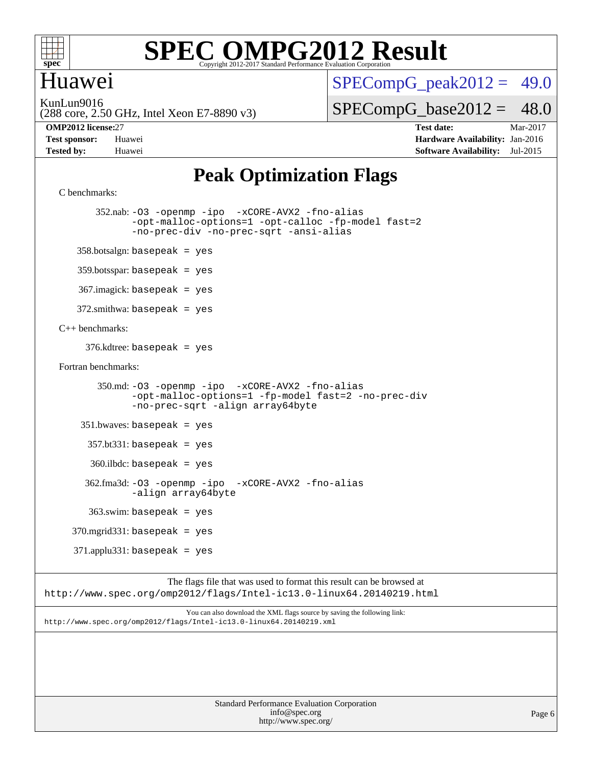

#### Huawei

 $SPECompG<sub>peak2012</sub> = 49.0$ 

KunLun9016

(288 core, 2.50 GHz, Intel Xeon E7-8890 v3)

**[Tested by:](http://www.spec.org/auto/omp2012/Docs/result-fields.html#Testedby)** Huawei **[Software Availability:](http://www.spec.org/auto/omp2012/Docs/result-fields.html#SoftwareAvailability)** Jul-2015

 $SPECompG_base2012 = 48.0$  $SPECompG_base2012 = 48.0$ **[OMP2012 license:](http://www.spec.org/auto/omp2012/Docs/result-fields.html#OMP2012license)**27 **[Test date:](http://www.spec.org/auto/omp2012/Docs/result-fields.html#Testdate)** Mar-2017 **[Test sponsor:](http://www.spec.org/auto/omp2012/Docs/result-fields.html#Testsponsor)** Huawei **[Hardware Availability:](http://www.spec.org/auto/omp2012/Docs/result-fields.html#HardwareAvailability)** Jan-2016

### **[Peak Optimization Flags](http://www.spec.org/auto/omp2012/Docs/result-fields.html#PeakOptimizationFlags)**

```
C benchmarks:
```
 352.nab: [-O3](http://www.spec.org/omp2012/results/res2017q2/omp2012-20170328-00096.flags.html#user_peakOPTIMIZE352_nab_f-O3) [-openmp](http://www.spec.org/omp2012/results/res2017q2/omp2012-20170328-00096.flags.html#user_peakOPTIMIZE352_nab_f-openmp) [-ipo](http://www.spec.org/omp2012/results/res2017q2/omp2012-20170328-00096.flags.html#user_peakOPTIMIZE352_nab_f-ipo_84062ab53814f613187d02344b8f49a7) [-xCORE-AVX2](http://www.spec.org/omp2012/results/res2017q2/omp2012-20170328-00096.flags.html#user_peakOPTIMIZE352_nab_f-xCORE-AVX2) [-fno-alias](http://www.spec.org/omp2012/results/res2017q2/omp2012-20170328-00096.flags.html#user_peakOPTIMIZE352_nab_f-no-alias_694e77f6c5a51e658e82ccff53a9e63a) [-opt-malloc-options=1](http://www.spec.org/omp2012/results/res2017q2/omp2012-20170328-00096.flags.html#user_peakOPTIMIZE352_nab_f-opt-malloc-options_d882ffc6ff87e51efe45f9a5190004b0) [-opt-calloc](http://www.spec.org/omp2012/results/res2017q2/omp2012-20170328-00096.flags.html#user_peakOPTIMIZE352_nab_f-opt-calloc) [-fp-model fast=2](http://www.spec.org/omp2012/results/res2017q2/omp2012-20170328-00096.flags.html#user_peakOPTIMIZE352_nab_f-fp-model_a7fb8ccb7275e23f0079632c153cfcab) [-no-prec-div](http://www.spec.org/omp2012/results/res2017q2/omp2012-20170328-00096.flags.html#user_peakOPTIMIZE352_nab_f-no-prec-div) [-no-prec-sqrt](http://www.spec.org/omp2012/results/res2017q2/omp2012-20170328-00096.flags.html#user_peakOPTIMIZE352_nab_f-no-prec-sqrt) [-ansi-alias](http://www.spec.org/omp2012/results/res2017q2/omp2012-20170328-00096.flags.html#user_peakCOPTIMIZE352_nab_f-ansi-alias)

 $358.botsalign: basepeak = yes$ 

359.botsspar: basepeak = yes

367.imagick: basepeak = yes

 $372.\text{smithwa: basepeak}$  = yes

#### [C++ benchmarks:](http://www.spec.org/auto/omp2012/Docs/result-fields.html#CXXbenchmarks)

376.kdtree: basepeak = yes

[Fortran benchmarks](http://www.spec.org/auto/omp2012/Docs/result-fields.html#Fortranbenchmarks):

 350.md: [-O3](http://www.spec.org/omp2012/results/res2017q2/omp2012-20170328-00096.flags.html#user_peakOPTIMIZE350_md_f-O3) [-openmp](http://www.spec.org/omp2012/results/res2017q2/omp2012-20170328-00096.flags.html#user_peakOPTIMIZE350_md_f-openmp) [-ipo](http://www.spec.org/omp2012/results/res2017q2/omp2012-20170328-00096.flags.html#user_peakOPTIMIZE350_md_f-ipo_84062ab53814f613187d02344b8f49a7) [-xCORE-AVX2](http://www.spec.org/omp2012/results/res2017q2/omp2012-20170328-00096.flags.html#user_peakOPTIMIZE350_md_f-xCORE-AVX2) [-fno-alias](http://www.spec.org/omp2012/results/res2017q2/omp2012-20170328-00096.flags.html#user_peakOPTIMIZE350_md_f-no-alias_694e77f6c5a51e658e82ccff53a9e63a) [-opt-malloc-options=1](http://www.spec.org/omp2012/results/res2017q2/omp2012-20170328-00096.flags.html#user_peakOPTIMIZE350_md_f-opt-malloc-options_d882ffc6ff87e51efe45f9a5190004b0) [-fp-model fast=2](http://www.spec.org/omp2012/results/res2017q2/omp2012-20170328-00096.flags.html#user_peakFOPTIMIZE350_md_f-fp-model_a7fb8ccb7275e23f0079632c153cfcab) [-no-prec-div](http://www.spec.org/omp2012/results/res2017q2/omp2012-20170328-00096.flags.html#user_peakFOPTIMIZE350_md_f-no-prec-div) [-no-prec-sqrt](http://www.spec.org/omp2012/results/res2017q2/omp2012-20170328-00096.flags.html#user_peakFOPTIMIZE350_md_f-no-prec-sqrt) [-align array64byte](http://www.spec.org/omp2012/results/res2017q2/omp2012-20170328-00096.flags.html#user_peakFOPTIMIZE350_md_f-align_c9377f996e966d652baaf753401d4725)

351.bwaves: basepeak = yes

 $357.$ bt $331:$  basepeak = yes

360.ilbdc: basepeak = yes

 362.fma3d: [-O3](http://www.spec.org/omp2012/results/res2017q2/omp2012-20170328-00096.flags.html#user_peakOPTIMIZE362_fma3d_f-O3) [-openmp](http://www.spec.org/omp2012/results/res2017q2/omp2012-20170328-00096.flags.html#user_peakOPTIMIZE362_fma3d_f-openmp) [-ipo](http://www.spec.org/omp2012/results/res2017q2/omp2012-20170328-00096.flags.html#user_peakOPTIMIZE362_fma3d_f-ipo_84062ab53814f613187d02344b8f49a7) [-xCORE-AVX2](http://www.spec.org/omp2012/results/res2017q2/omp2012-20170328-00096.flags.html#user_peakOPTIMIZE362_fma3d_f-xCORE-AVX2) [-fno-alias](http://www.spec.org/omp2012/results/res2017q2/omp2012-20170328-00096.flags.html#user_peakOPTIMIZE362_fma3d_f-no-alias_694e77f6c5a51e658e82ccff53a9e63a) [-align array64byte](http://www.spec.org/omp2012/results/res2017q2/omp2012-20170328-00096.flags.html#user_peakFOPTIMIZE362_fma3d_f-align_c9377f996e966d652baaf753401d4725)

363.swim: basepeak = yes

370.mgrid331: basepeak = yes

 $371$ .applu $331$ : basepeak = yes

The flags file that was used to format this result can be browsed at <http://www.spec.org/omp2012/flags/Intel-ic13.0-linux64.20140219.html>

You can also download the XML flags source by saving the following link: <http://www.spec.org/omp2012/flags/Intel-ic13.0-linux64.20140219.xml>

> Standard Performance Evaluation Corporation [info@spec.org](mailto:info@spec.org) <http://www.spec.org/>

Page 6